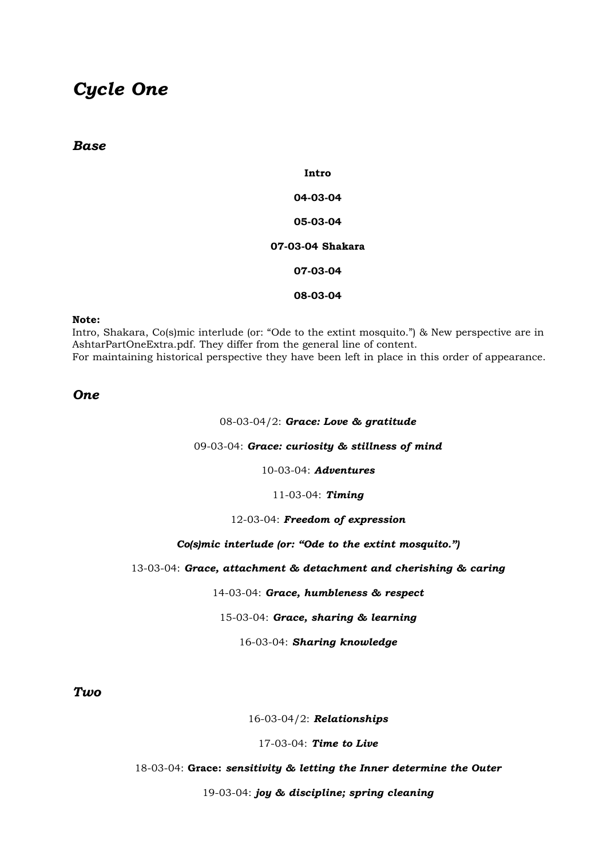# *Cycle One*

# *Base*

**Intro 04-03-04 05-03-04 07-03-04 Shakara 07-03-04 08-03-04**

#### **Note:**

Intro, Shakara, Co(s)mic interlude (or: "Ode to the extint mosquito.") & New perspective are in AshtarPartOneExtra.pdf. They differ from the general line of content. For maintaining historical perspective they have been left in place in this order of appearance.

# *One*

#### 08-03-04/2: *Grace: Love & gratitude*

#### 09-03-04: *Grace: curiosity & stillness of mind*

10-03-04: *Adventures*

#### 11-03-04: *Timing*

# 12-03-04: *Freedom of expression*

### *Co(s)mic interlude (or: "Ode to the extint mosquito.")*

#### 13-03-04: *Grace, attachment & detachment and cherishing & caring*

14-03-04: *Grace, humbleness & respect*

#### 15-03-04: *Grace, sharing & learning*

#### 16-03-04: *Sharing knowledge*

*Two*

#### 16-03-04/2: *Relationships*

#### 17-03-04: *Time to Live*

## 18-03-04: **Grace:** *sensitivity & letting the Inner determine the Outer*

#### 19-03-04: *joy & discipline; spring cleaning*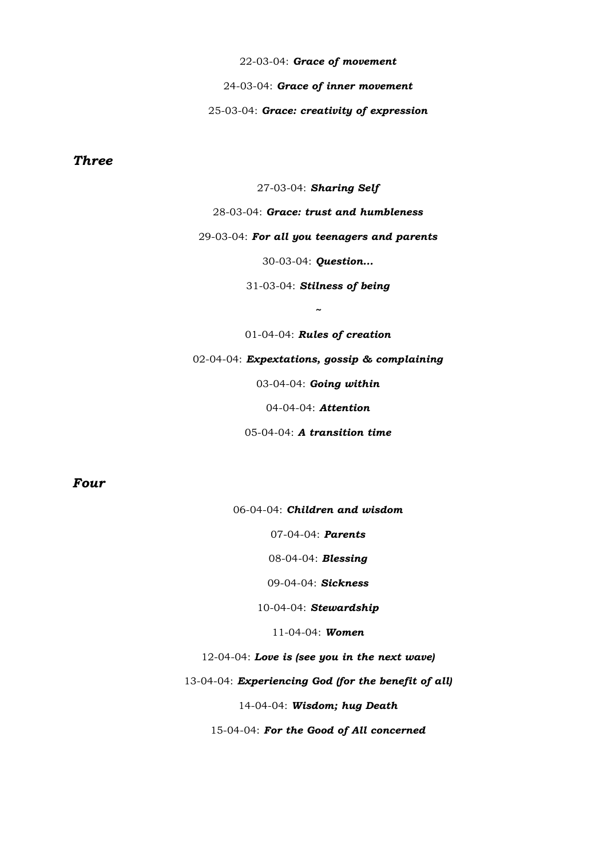22-03-04: *Grace of movement* 24-03-04: *Grace of inner movement* 25-03-04: *Grace: creativity of expression*

# *Three*

27-03-04: *Sharing Self*

28-03-04: *Grace: trust and humbleness*

29-03-04: *For all you teenagers and parents*

30-03-04: *Question...*

31-03-04: *Stilness of being*

*~*

01-04-04: *Rules of creation* 02-04-04: *Expextations, gossip & complaining* 03-04-04: *Going within* 04-04-04: *Attention* 05-04-04: *A transition time*

# *Four*

06-04-04: *Children and wisdom*

07-04-04: *Parents*

08-04-04: *Blessing*

09-04-04: *Sickness*

10-04-04: *Stewardship*

11-04-04: *Women*

12-04-04: *Love is (see you in the next wave)*

13-04-04: *Experiencing God (for the benefit of all)*

14-04-04: *Wisdom; hug Death*

15-04-04: *For the Good of All concerned*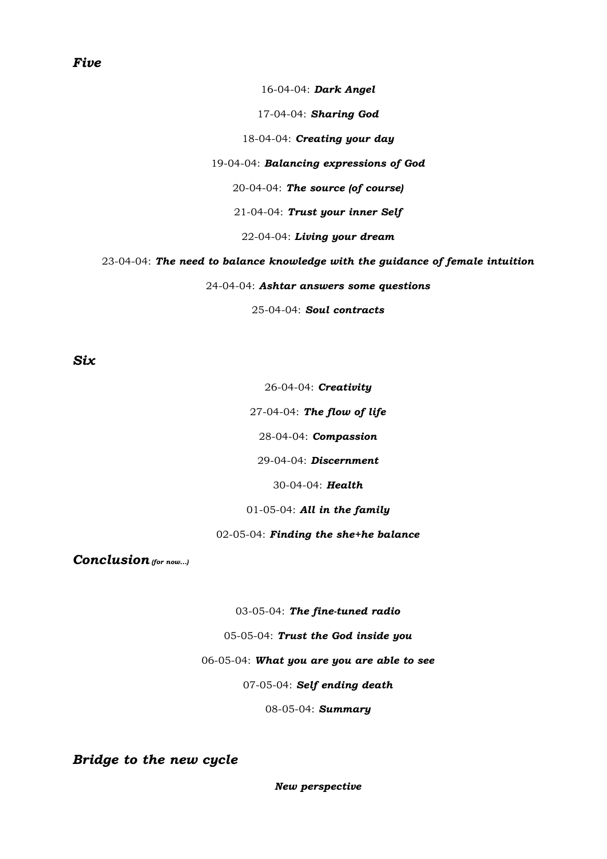# *Five*

#### 16-04-04: *Dark Angel*

17-04-04: *Sharing God*

18-04-04: *Creating your day*

19-04-04: *Balancing expressions of God*

20-04-04: *The source (of course)*

21-04-04: *Trust your inner Self*

22-04-04: *Living your dream*

23-04-04: *The need to balance knowledge with the guidance of female intuition*

24-04-04: *Ashtar answers some questions*

25-04-04: *Soul contracts*

*Six*

26-04-04: *Creativity*

27-04-04: *The flow of life*

28-04-04: *Compassion*

29-04-04: *Discernment*

30-04-04: *Health*

01-05-04: *All in the family*

02-05-04: *Finding the she+he balance*

*Conclusion (for now...)*

03-05-04: *The fine-tuned radio*

05-05-04: *Trust the God inside you*

06-05-04: *What you are you are able to see*

07-05-04: *Self ending death*

08-05-04: *Summary*

*Bridge to the new cycle*

*New perspective*